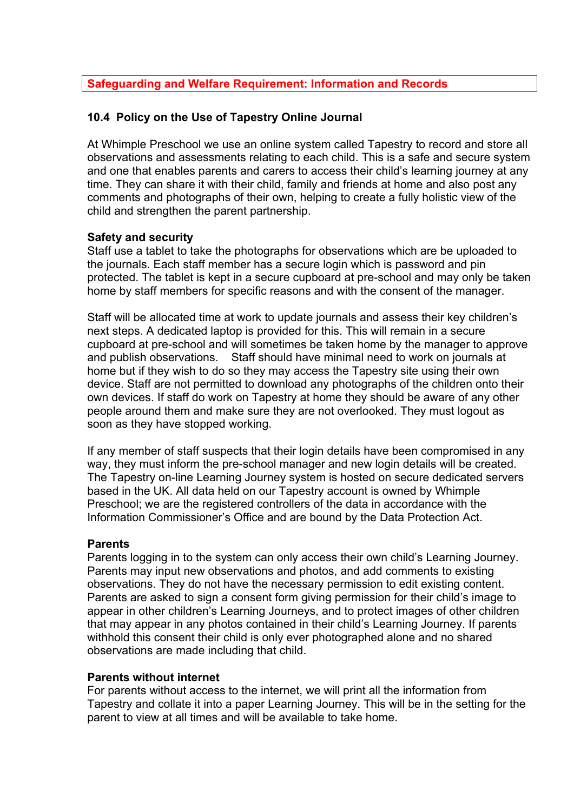# **Safeguarding and Welfare Requirement: Information and Records**

## **10.4 Policy on the Use of Tapestry Online Journal**

At Whimple Preschool we use an online system called Tapestry to record and store all observations and assessments relating to each child. This is a safe and secure system and one that enables parents and carers to access their child's learning journey at any time. They can share it with their child, family and friends at home and also post any comments and photographs of their own, helping to create a fully holistic view of the child and strengthen the parent partnership.

#### **Safety and security**

Staff use a tablet to take the photographs for observations which are be uploaded to the journals. Each staff member has a secure login which is password and pin protected. The tablet is kept in a secure cupboard at pre-school and may only be taken home by staff members for specific reasons and with the consent of the manager.

Staff will be allocated time at work to update journals and assess their key children's next steps. A dedicated laptop is provided for this. This will remain in a secure cupboard at pre-school and will sometimes be taken home by the manager to approve and publish observations. Staff should have minimal need to work on journals at home but if they wish to do so they may access the Tapestry site using their own device. Staff are not permitted to download any photographs of the children onto their own devices. If staff do work on Tapestry at home they should be aware of any other people around them and make sure they are not overlooked. They must logout as soon as they have stopped working.

If any member of staff suspects that their login details have been compromised in any way, they must inform the pre-school manager and new login details will be created. The Tapestry on-line Learning Journey system is hosted on secure dedicated servers based in the UK. All data held on our Tapestry account is owned by Whimple Preschool; we are the registered controllers of the data in accordance with the Information Commissioner's Office and are bound by the Data Protection Act.

## **Parents**

Parents logging in to the system can only access their own child's Learning Journey. Parents may input new observations and photos, and add comments to existing observations. They do not have the necessary permission to edit existing content. Parents are asked to sign a consent form giving permission for their child's image to appear in other children's Learning Journeys, and to protect images of other children that may appear in any photos contained in their child's Learning Journey. If parents withhold this consent their child is only ever photographed alone and no shared observations are made including that child.

#### **Parents without internet**

For parents without access to the internet, we will print all the information from Tapestry and collate it into a paper Learning Journey. This will be in the setting for the parent to view at all times and will be available to take home.